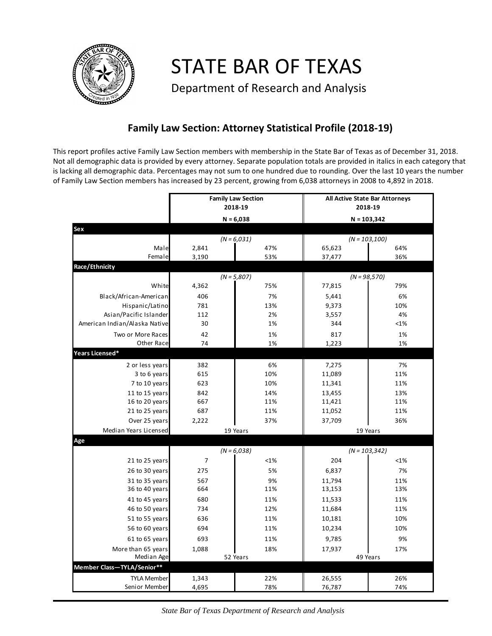

STATE BAR OF TEXAS

Department of Research and Analysis

## **Family Law Section: Attorney Statistical Profile (2018-19)**

This report profiles active Family Law Section members with membership in the State Bar of Texas as of December 31, 2018. Not all demographic data is provided by every attorney. Separate population totals are provided in italics in each category that is lacking all demographic data. Percentages may not sum to one hundred due to rounding. Over the last 10 years the number of Family Law Section members has increased by 23 percent, growing from 6,038 attorneys in 2008 to 4,892 in 2018.

|                                  | <b>Family Law Section</b><br>2018-19 |               | All Active State Bar Attorneys<br>2018-19<br>$N = 103,342$ |                  |                  |
|----------------------------------|--------------------------------------|---------------|------------------------------------------------------------|------------------|------------------|
|                                  | $N = 6,038$                          |               |                                                            |                  |                  |
| Sex                              |                                      |               |                                                            |                  |                  |
|                                  |                                      | $(N = 6,031)$ |                                                            |                  | $(N = 103, 100)$ |
| Male<br>Female                   | 2,841<br>3,190                       |               | 47%<br>53%                                                 | 65,623<br>37,477 | 64%<br>36%       |
| Race/Ethnicity                   |                                      |               |                                                            |                  |                  |
|                                  | $(N = 5,807)$                        |               | $(N = 98,570)$                                             |                  |                  |
| White                            | 4,362                                |               | 75%                                                        | 77,815           | 79%              |
| Black/African-American           | 406                                  |               | 7%                                                         | 5,441            | 6%               |
| Hispanic/Latino                  | 781                                  |               | 13%                                                        | 9,373            | 10%              |
| Asian/Pacific Islander           | 112                                  |               | 2%                                                         | 3,557            | 4%               |
| American Indian/Alaska Native    | 30                                   |               | 1%                                                         | 344              | < 1%             |
| Two or More Races                | 42                                   |               | 1%                                                         | 817              | 1%               |
| Other Race                       | 74                                   |               | 1%                                                         | 1,223            | 1%               |
| Years Licensed*                  |                                      |               |                                                            |                  |                  |
| 2 or less years                  | 382                                  |               | 6%                                                         | 7,275            | 7%               |
| 3 to 6 years                     | 615                                  |               | 10%                                                        | 11,089           | 11%              |
| 7 to 10 years                    | 623                                  |               | 10%                                                        | 11,341           | 11%              |
| 11 to 15 years                   | 842                                  |               | 14%                                                        | 13,455           | 13%              |
| 16 to 20 years                   | 667                                  |               | 11%                                                        | 11,421           | 11%              |
| 21 to 25 years                   | 687                                  |               | 11%                                                        | 11,052           | 11%              |
| Over 25 years                    | 2,222                                |               | 37%                                                        | 37,709           | 36%              |
| Median Years Licensed            |                                      | 19 Years      |                                                            |                  | 19 Years         |
| Age                              |                                      |               |                                                            |                  |                  |
|                                  | $(N = 6,038)$                        |               | $(N = 103, 342)$                                           |                  |                  |
| 21 to 25 years                   | $\overline{7}$                       |               | <1%                                                        | 204              | <1%              |
| 26 to 30 years                   | 275                                  |               | 5%                                                         | 6,837            | 7%               |
| 31 to 35 years                   | 567                                  |               | 9%                                                         | 11,794           | 11%              |
| 36 to 40 years                   | 664                                  |               | 11%                                                        | 13,153           | 13%              |
| 41 to 45 years                   | 680                                  |               | 11%                                                        | 11,533           | 11%              |
| 46 to 50 years                   | 734                                  |               | 12%                                                        | 11,684           | 11%              |
| 51 to 55 years                   | 636                                  |               | 11%                                                        | 10,181           | 10%              |
| 56 to 60 years                   | 694                                  |               | 11%                                                        | 10,234           | 10%              |
| 61 to 65 years                   | 693                                  |               | 11%                                                        | 9,785            | 9%               |
| More than 65 years<br>Median Age | 1,088<br>18%<br>52 Years             |               | 17,937<br>17%<br>49 Years                                  |                  |                  |
| Member Class-TYLA/Senior**       |                                      |               |                                                            |                  |                  |
| <b>TYLA Member</b>               | 1,343                                |               | 22%                                                        | 26,555           | 26%              |
| Senior Member                    | 4,695                                |               | 78%                                                        | 76,787           | 74%              |

*State Bar of Texas Department of Research and Analysis*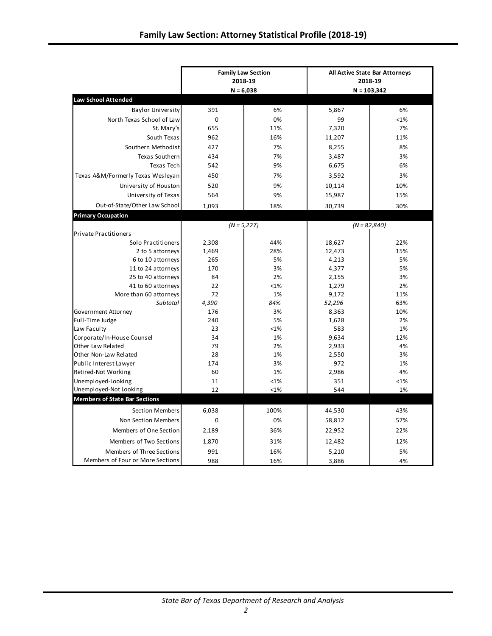|                                            | <b>Family Law Section</b><br>2018-19<br>$N = 6,038$ |          | All Active State Bar Attorneys<br>2018-19 |                |  |
|--------------------------------------------|-----------------------------------------------------|----------|-------------------------------------------|----------------|--|
| <b>Law School Attended</b>                 |                                                     |          |                                           | $N = 103,342$  |  |
| <b>Baylor University</b>                   | 391                                                 | 6%       | 5,867                                     | 6%             |  |
| North Texas School of Law                  | 0                                                   | 0%       | 99                                        | <1%            |  |
| St. Mary's                                 | 655                                                 | 11%      | 7,320                                     | 7%             |  |
| South Texas                                | 962                                                 | 16%      | 11,207                                    | 11%            |  |
| Southern Methodist                         | 427                                                 | 7%       |                                           | 8%             |  |
|                                            |                                                     |          | 8,255                                     |                |  |
| Texas Southern<br><b>Texas Tech</b>        | 434<br>542                                          | 7%<br>9% | 3,487<br>6,675                            | 3%<br>6%       |  |
|                                            |                                                     |          |                                           |                |  |
| Texas A&M/Formerly Texas Wesleyan          | 450                                                 | 7%       | 3,592                                     | 3%             |  |
| University of Houston                      | 520                                                 | 9%       | 10,114                                    | 10%            |  |
| University of Texas                        | 564                                                 | 9%       | 15,987                                    | 15%            |  |
| Out-of-State/Other Law School              | 1,093                                               | 18%      | 30,739                                    | 30%            |  |
| <b>Primary Occupation</b>                  |                                                     |          |                                           |                |  |
|                                            | $(N = 5,227)$                                       |          |                                           | $(N = 82,840)$ |  |
| <b>Private Practitioners</b>               |                                                     |          |                                           |                |  |
| Solo Practitioners                         | 2,308                                               | 44%      | 18,627                                    | 22%            |  |
| 2 to 5 attorneys                           | 1,469                                               | 28%      | 12,473                                    | 15%            |  |
| 6 to 10 attorneys                          | 265                                                 | 5%       | 4,213                                     | 5%             |  |
| 11 to 24 attorneys                         | 170                                                 | 3%       | 4,377                                     | 5%             |  |
| 25 to 40 attorneys                         | 84                                                  | 2%       | 2,155                                     | 3%             |  |
| 41 to 60 attorneys                         | 22                                                  | <1%      | 1,279                                     | 2%             |  |
| More than 60 attorneys                     | 72                                                  | 1%       | 9,172                                     | 11%            |  |
| Subtotal                                   | 4,390                                               | 84%      | 52,296                                    | 63%            |  |
| Government Attorney                        | 176                                                 | 3%       | 8,363                                     | 10%            |  |
| Full-Time Judge                            | 240                                                 | 5%       | 1,628                                     | 2%             |  |
| Law Faculty                                | 23                                                  | <1%      | 583                                       | 1%             |  |
| Corporate/In-House Counsel                 | 34                                                  | 1%       | 9,634                                     | 12%            |  |
| Other Law Related<br>Other Non-Law Related | 79<br>28                                            | 2%<br>1% | 2,933<br>2,550                            | 4%<br>3%       |  |
| Public Interest Lawyer                     | 174                                                 | 3%       | 972                                       | 1%             |  |
| Retired-Not Working                        | 60                                                  | 1%       | 2,986                                     | 4%             |  |
| Unemployed-Looking                         | 11                                                  | <1%      | 351                                       | <1%            |  |
| Unemployed-Not Looking                     | 12                                                  | <1%      | 544                                       | 1%             |  |
| <b>Members of State Bar Sections</b>       |                                                     |          |                                           |                |  |
|                                            |                                                     |          |                                           |                |  |
| Section Members                            | 6,038                                               | 100%     | 44,530                                    | 43%            |  |
| Non Section Members                        | 0                                                   | 0%       | 58,812                                    | 57%            |  |
| Members of One Section                     | 2,189                                               | 36%      | 22,952                                    | 22%            |  |
| Members of Two Sections                    | 1,870                                               | 31%      | 12,482                                    | 12%            |  |
| Members of Three Sections                  | 991                                                 | 16%      | 5,210                                     | 5%             |  |
| Members of Four or More Sections           | 988                                                 | 16%      | 3,886                                     | 4%             |  |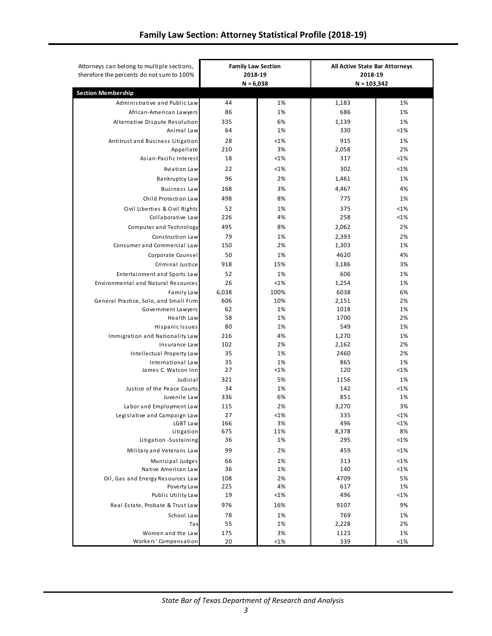|                                          | <b>Family Law Section</b><br>2018-19<br>$N = 6,038$ |           | All Active State Bar Attorneys<br>2018-19<br>$N = 103,342$ |           |
|------------------------------------------|-----------------------------------------------------|-----------|------------------------------------------------------------|-----------|
| <b>Section Membership</b>                |                                                     |           |                                                            |           |
| Administrative and Public Law            | 44                                                  | 1%        | 1,183                                                      | 1%        |
| African-American Lawyers                 | 86                                                  | 1%        | 686                                                        | 1%        |
| Alternative Dispute Resolution           | 335                                                 | 6%        | 1,139                                                      | 1%        |
| Animal Law                               | 64                                                  | 1%        | 330                                                        | <1%       |
| Antitrust and Business Litigation        | 28                                                  | <1%       | 915                                                        | 1%        |
| Appellate                                | 210                                                 | 3%        | 2,058                                                      | 2%        |
| Asian-Pacific Interest                   | 18                                                  | <1%       | 317                                                        | <1%       |
| Aviation Law                             | 22                                                  | <1%       | 302                                                        | <1%       |
| Bankruptcy Law                           | 96                                                  | 2%        | 1,461                                                      | 1%        |
| <b>Business Law</b>                      | 168                                                 | 3%        | 4,467                                                      | 4%        |
| Child Protection Law                     | 498                                                 | 8%        | 775                                                        | 1%        |
| Civil Liberties & Civil Rights           | 52                                                  | 1%        | 375                                                        | <1%       |
| Collaborative Law                        | 226                                                 | 4%        | 258                                                        | <1%       |
| Computer and Technology                  | 495                                                 | 8%        | 2,062                                                      | 2%        |
| Construction Law                         | 79                                                  | 1%        | 2,393                                                      | 2%        |
| Consumer and Commercial Law              | 150                                                 | 2%        | 1,303                                                      | 1%        |
| Corporate Counsel                        | 50                                                  | 1%        | 4620                                                       | 4%        |
| Criminal Justice                         | 918                                                 | 15%       | 3,186                                                      | 3%        |
| Entertainment and Sports Law             | 52                                                  | 1%        | 606                                                        | 1%        |
| Environmental and Natural Resources      | 26                                                  | <1%       | 1,254                                                      | 1%        |
| Family Law                               | 6,038                                               | 100%      | 6038                                                       | 6%        |
| General Practice, Solo, and Small Firm   | 606                                                 | 10%       | 2,151                                                      | 2%        |
| Government Lawyers                       | 62                                                  | 1%        | 1018                                                       | 1%        |
| Health Law                               | 58                                                  | 1%        | 1700                                                       | 2%        |
| Hispanic Issues                          | 80                                                  | 1%        | 549                                                        | 1%        |
| Immigration and Nationality Law          | 216                                                 | 4%        | 1,270                                                      | 1%        |
| Insurance Law                            | 102                                                 | 2%        | 2,162                                                      | 2%        |
| Intellectual Property Law                | 35                                                  | 1%        | 2460                                                       | 2%        |
| International Law                        | 35                                                  | 1%        | 865                                                        | 1%        |
| James C. Watson Inn                      | 27                                                  | <1%       | 120                                                        | $<1\%$    |
| Judicial                                 | 321                                                 | 5%        | 1156                                                       | 1%        |
| Justice of the Peace Courts              | 34                                                  | 1%        | 142                                                        | <1%       |
| Juvenile Law                             | 336                                                 | 6%        | 851                                                        | 1%        |
| Labor and Employment Law                 | 115<br>27                                           | 2%<br><1% | 3,270<br>335                                               | 3%<br><1% |
| Legislative and Campaign Law<br>LGBT Law | 166                                                 | 3%        | 496                                                        | $<$ 1%    |
| Litigation                               | 675                                                 | 11%       | 8,378                                                      | 8%        |
| Litigation -Sustaining                   | 36                                                  | 1%        | 295                                                        | <1%       |
| Military and Veterans Law                | 99                                                  | 2%        | 459                                                        | <1%       |
| Municipal Judges                         | 66                                                  | 1%        | 313                                                        | <1%       |
| Native American Law                      | 36                                                  | 1%        | 140                                                        | <1%       |
| Oil, Gas and Energy Resources Law        | 108                                                 | 2%        | 4709                                                       | 5%        |
| Poverty Law                              | 225                                                 | 4%        | 617                                                        | 1%        |
| Public Utility Law                       | 19                                                  | <1%       | 496                                                        | <1%       |
| Real Estate, Probate & Trust Law         | 976                                                 | 16%       | 9107                                                       | 9%        |
| School Law                               | 78                                                  | 1%        | 769                                                        | 1%        |
| Tax                                      | 55                                                  | 1%        | 2,228                                                      | 2%        |
| Women and the Law                        | 175                                                 | 3%        | 1123                                                       | 1%        |
| Workers' Compensation                    | 20                                                  | <1%       | 339                                                        | <1%       |